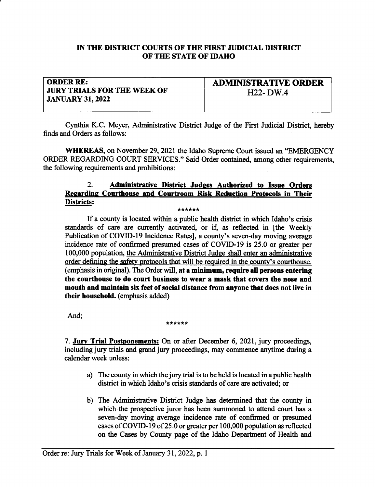# IN THE DISTRICT COURTS OF THE FIRST JUDICIAL DISTRICT OF THE STATE OF IDAHO

# ORDER RE: JURY TRIALS FOR THE WEEK OF JANUARY 31,2022

ADMINISTRATIVE ORDER H<sub>22</sub>- DW<sub>.4</sub>

Cynthia K.C. Meyer, Administative District Judge of the First Judicial Distict, hereby finds and Orders as follows:

WHEREAS, on November 29,2021 the Idaho Supreme Court issued an "EMERGENCY ORDER REGARDING COURT SERVICES." Said Order contained, among other requirements, the following requirements and prohibitions:

# 2. Administrative District Judges Authorized to Issue Orders Regarding Courthouse and Courtroom Risk Reduction Protocols in Their<br>Districts: <u>Districts</u>: <u>\*\*\*\*\*\*</u>

If a county is located within a public health district in which Idaho's crisis standards of care are currently activated, or if, as reflected in [the Weekly Publication of COVID-I9 Incidence Rates], a county's seven-day moving average incidence rate of confirmed presumed cases of COVID-l9 is 25.0 or greater per 100,000 population, the Administrative District Judge shall enter an administrative order defining the safety protocols that will be required in the countv's courthouse. (emphasis in original). The Order will, at a minimum, require all persons entering the courthouse to do court business to wear a mask that covers the nose and mouth and maintain six feet of social distance from anyone that does not live in their household. (emphasis added)

And;

### \*\*\*\*\*\*

7. Jury Trial Postponements: On or after December 6, 2021, jury proceedings, including jury trials and grand jury proceedings, may conrmence anytime during <sup>a</sup> calendar week unless:

- a) The county in which the jury trial is to be held is located in a public health district in which Idaho's crisis standards of care are activated; or
- b) The Adminisfrative District Judge has determined that the county in which the prospective juror has been summoned to attend court has <sup>a</sup> seven-day moving average incidence rate of confirmed or presumed cases of COVID-19 of 25.0 or greater per 100,000 population as reflected on the Cases by County page of the Idaho Departnent of Health and